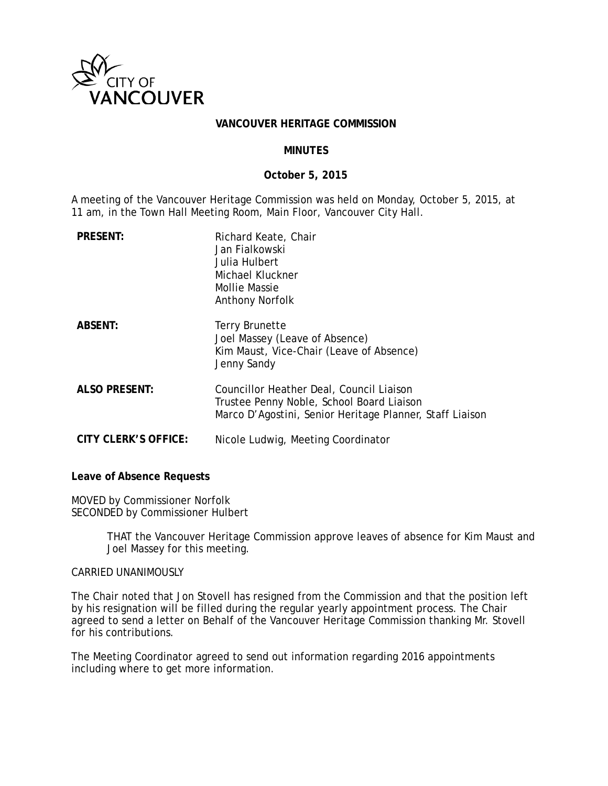

### **VANCOUVER HERITAGE COMMISSION**

### **MINUTES**

### **October 5, 2015**

A meeting of the Vancouver Heritage Commission was held on Monday, October 5, 2015, at 11 am, in the Town Hall Meeting Room, Main Floor, Vancouver City Hall.

| <b>PRESENT:</b>             | Richard Keate, Chair<br>Jan Fialkowski<br>Julia Hulbert<br>Michael Kluckner<br>Mollie Massie<br><b>Anthony Norfolk</b>                            |
|-----------------------------|---------------------------------------------------------------------------------------------------------------------------------------------------|
| <b>ABSENT:</b>              | <b>Terry Brunette</b><br>Joel Massey (Leave of Absence)<br>Kim Maust, Vice-Chair (Leave of Absence)<br>Jenny Sandy                                |
| <b>ALSO PRESENT:</b>        | Councillor Heather Deal, Council Liaison<br>Trustee Penny Noble, School Board Liaison<br>Marco D'Agostini, Senior Heritage Planner, Staff Liaison |
| <b>CITY CLERK'S OFFICE:</b> | Nicole Ludwig, Meeting Coordinator                                                                                                                |

#### **Leave of Absence Requests**

MOVED by Commissioner Norfolk SECONDED by Commissioner Hulbert

> THAT the Vancouver Heritage Commission approve leaves of absence for Kim Maust and Joel Massey for this meeting.

#### CARRIED UNANIMOUSLY

The Chair noted that Jon Stovell has resigned from the Commission and that the position left by his resignation will be filled during the regular yearly appointment process. The Chair agreed to send a letter on Behalf of the Vancouver Heritage Commission thanking Mr. Stovell for his contributions.

The Meeting Coordinator agreed to send out information regarding 2016 appointments including where to get more information.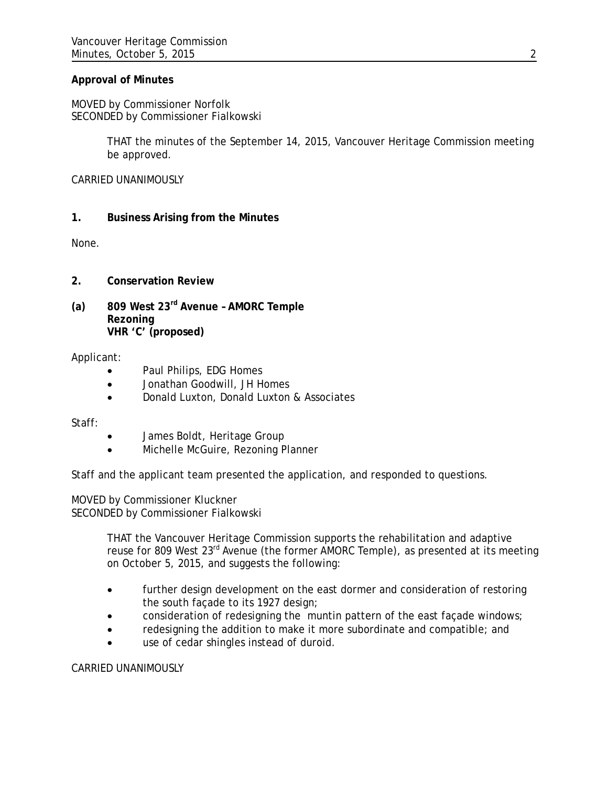## **Approval of Minutes**

MOVED by Commissioner Norfolk SECONDED by Commissioner Fialkowski

> THAT the minutes of the September 14, 2015, Vancouver Heritage Commission meeting be approved.

CARRIED UNANIMOUSLY

**1. Business Arising from the Minutes**

None.

- **2. Conservation Review**
- **(a) 809 West 23rd Avenue – AMORC Temple Rezoning VHR 'C' (proposed)**

### Applicant:

- Paul Philips, EDG Homes
- Jonathan Goodwill, JH Homes
- Donald Luxton, Donald Luxton & Associates

Staff:

- James Boldt, Heritage Group
- Michelle McGuire, Rezoning Planner

Staff and the applicant team presented the application, and responded to questions.

MOVED by Commissioner Kluckner SECONDED by Commissioner Fialkowski

> THAT the Vancouver Heritage Commission supports the rehabilitation and adaptive reuse for 809 West 23<sup>rd</sup> Avenue (the former AMORC Temple), as presented at its meeting on October 5, 2015, and suggests the following:

- further design development on the east dormer and consideration of restoring the south façade to its 1927 design;
- consideration of redesigning the muntin pattern of the east façade windows;
- redesigning the addition to make it more subordinate and compatible; and
- use of cedar shingles instead of duroid.

CARRIED UNANIMOUSLY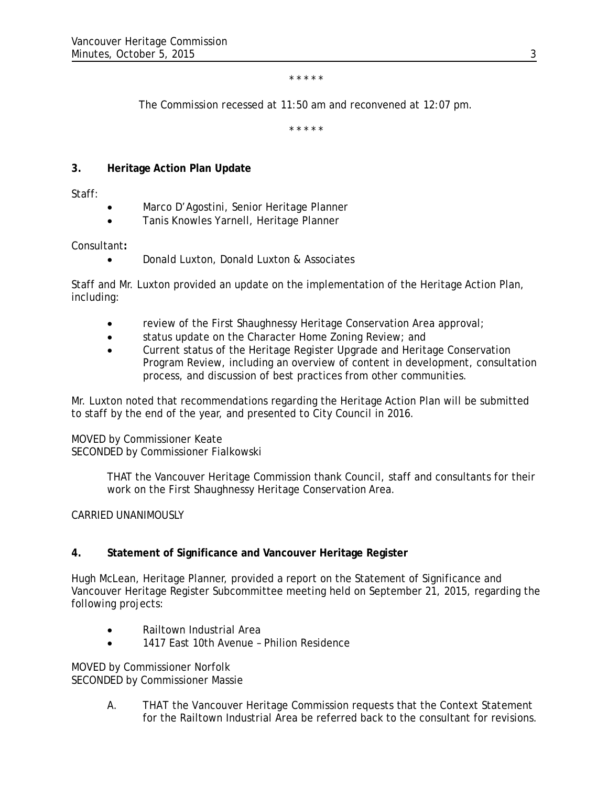#### *\* \* \* \* \**

*The Commission recessed at 11:50 am and reconvened at 12:07 pm.*

*\* \* \* \* \**

# **3. Heritage Action Plan Update**

Staff:

- Marco D'Agostini, Senior Heritage Planner
- Tanis Knowles Yarnell, Heritage Planner

## Consultant**:**

• Donald Luxton, Donald Luxton & Associates

Staff and Mr. Luxton provided an update on the implementation of the Heritage Action Plan, including:

- review of the First Shaughnessy Heritage Conservation Area approval;
- status update on the Character Home Zoning Review; and
- Current status of the Heritage Register Upgrade and Heritage Conservation Program Review, including an overview of content in development, consultation process, and discussion of best practices from other communities.

Mr. Luxton noted that recommendations regarding the Heritage Action Plan will be submitted to staff by the end of the year, and presented to City Council in 2016.

## MOVED by Commissioner Keate SECONDED by Commissioner Fialkowski

THAT the Vancouver Heritage Commission thank Council, staff and consultants for their work on the First Shaughnessy Heritage Conservation Area.

# CARRIED UNANIMOUSLY

# **4. Statement of Significance and Vancouver Heritage Register**

Hugh McLean, Heritage Planner, provided a report on the Statement of Significance and Vancouver Heritage Register Subcommittee meeting held on September 21, 2015, regarding the following projects:

- Railtown Industrial Area
- 1417 East 10th Avenue Philion Residence

MOVED by Commissioner Norfolk SECONDED by Commissioner Massie

> A. THAT the Vancouver Heritage Commission requests that the Context Statement for the Railtown Industrial Area be referred back to the consultant for revisions.